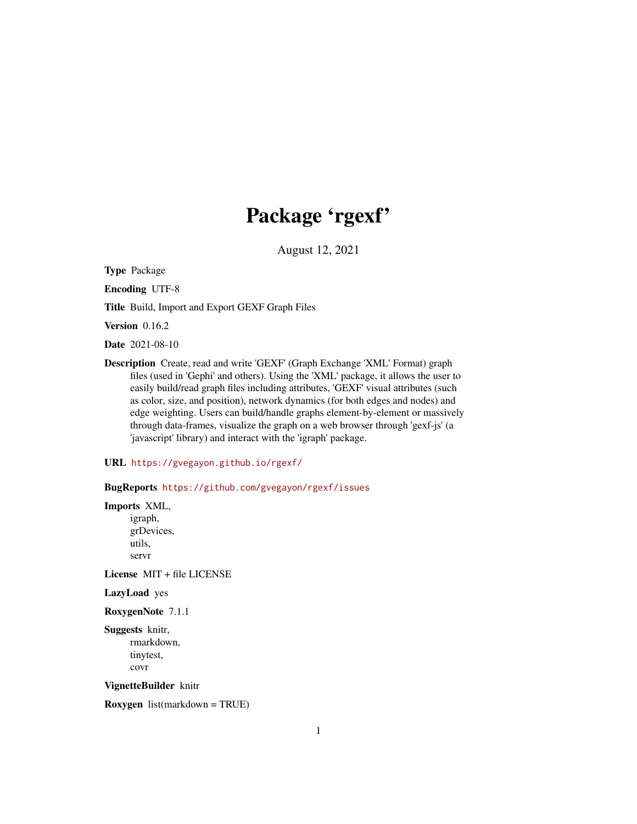# Package 'rgexf'

August 12, 2021

<span id="page-0-0"></span>Type Package

Encoding UTF-8

Title Build, Import and Export GEXF Graph Files

Version 0.16.2

Date 2021-08-10

Description Create, read and write 'GEXF' (Graph Exchange 'XML' Format) graph files (used in 'Gephi' and others). Using the 'XML' package, it allows the user to easily build/read graph files including attributes, 'GEXF' visual attributes (such as color, size, and position), network dynamics (for both edges and nodes) and edge weighting. Users can build/handle graphs element-by-element or massively through data-frames, visualize the graph on a web browser through 'gexf-js' (a 'javascript' library) and interact with the 'igraph' package.

URL <https://gvegayon.github.io/rgexf/>

BugReports <https://github.com/gvegayon/rgexf/issues>

Imports XML, igraph, grDevices, utils, servr

License MIT + file LICENSE

LazyLoad yes

RoxygenNote 7.1.1

Suggests knitr, rmarkdown, tinytest, covr

VignetteBuilder knitr

Roxygen list(markdown = TRUE)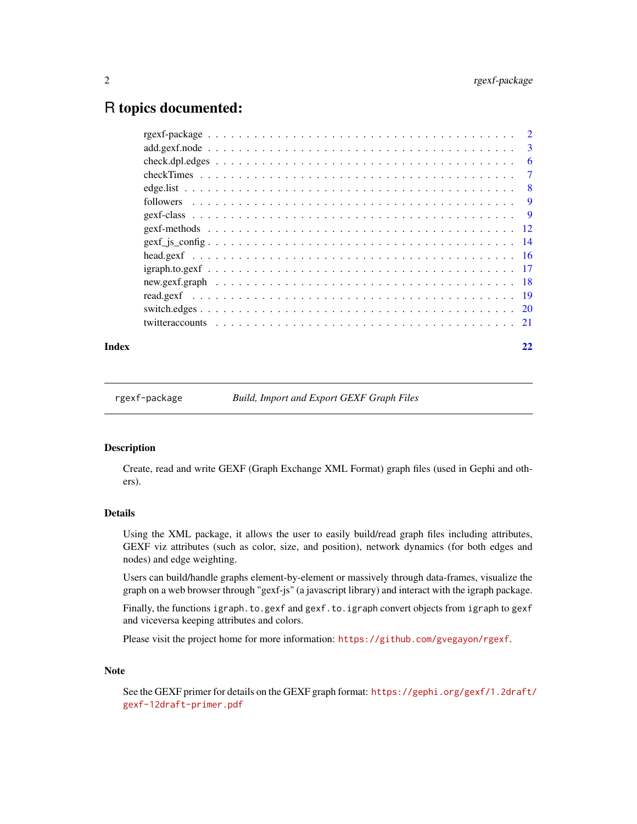## <span id="page-1-0"></span>R topics documented:

|  | 3   |
|--|-----|
|  | 6   |
|  | 7   |
|  | - 8 |
|  | 9   |
|  | - 9 |
|  |     |
|  |     |
|  |     |
|  |     |
|  |     |
|  |     |
|  |     |
|  |     |
|  |     |

### **Index** [22](#page-21-0)

rgexf-package *Build, Import and Export GEXF Graph Files*

### Description

Create, read and write GEXF (Graph Exchange XML Format) graph files (used in Gephi and others).

### Details

Using the XML package, it allows the user to easily build/read graph files including attributes, GEXF viz attributes (such as color, size, and position), network dynamics (for both edges and nodes) and edge weighting.

Users can build/handle graphs element-by-element or massively through data-frames, visualize the graph on a web browser through "gexf-js" (a javascript library) and interact with the igraph package.

Finally, the functions igraph.to.gexf and gexf.to.igraph convert objects from igraph to gexf and viceversa keeping attributes and colors.

Please visit the project home for more information: <https://github.com/gvegayon/rgexf>.

### Note

See the GEXF primer for details on the GEXF graph format: [https://gephi.org/gexf/1.2draft/](https://gephi.org/gexf/1.2draft/gexf-12draft-primer.pdf) [gexf-12draft-primer.pdf](https://gephi.org/gexf/1.2draft/gexf-12draft-primer.pdf)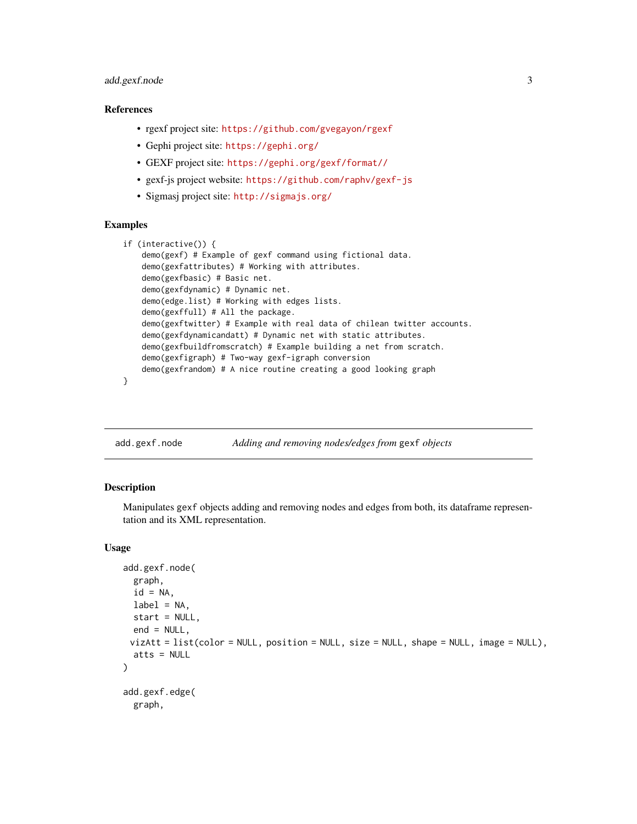### <span id="page-2-0"></span>add.gexf.node 3

### References

- rgexf project site: <https://github.com/gvegayon/rgexf>
- Gephi project site: <https://gephi.org/>
- GEXF project site: <https://gephi.org/gexf/format//>
- gexf-js project website: <https://github.com/raphv/gexf-js>
- Sigmasj project site: <http://sigmajs.org/>

### Examples

```
if (interactive()) {
    demo(gexf) # Example of gexf command using fictional data.
    demo(gexfattributes) # Working with attributes.
   demo(gexfbasic) # Basic net.
    demo(gexfdynamic) # Dynamic net.
    demo(edge.list) # Working with edges lists.
    demo(gexffull) # All the package.
    demo(gexftwitter) # Example with real data of chilean twitter accounts.
    demo(gexfdynamicandatt) # Dynamic net with static attributes.
    demo(gexfbuildfromscratch) # Example building a net from scratch.
   demo(gexfigraph) # Two-way gexf-igraph conversion
    demo(gexfrandom) # A nice routine creating a good looking graph
}
```
add.gexf.node *Adding and removing nodes/edges from* gexf *objects*

### <span id="page-2-1"></span>**Description**

Manipulates gexf objects adding and removing nodes and edges from both, its dataframe representation and its XML representation.

```
add.gexf.node(
 graph,
  id = NA,
 label = NA,
 start = NULL,
 end = NULL,vizAtt = list(color = NULL, position = NULL, size = NULL, shape = NULL, image = NULL,atts = NULL)
add.gexf.edge(
  graph,
```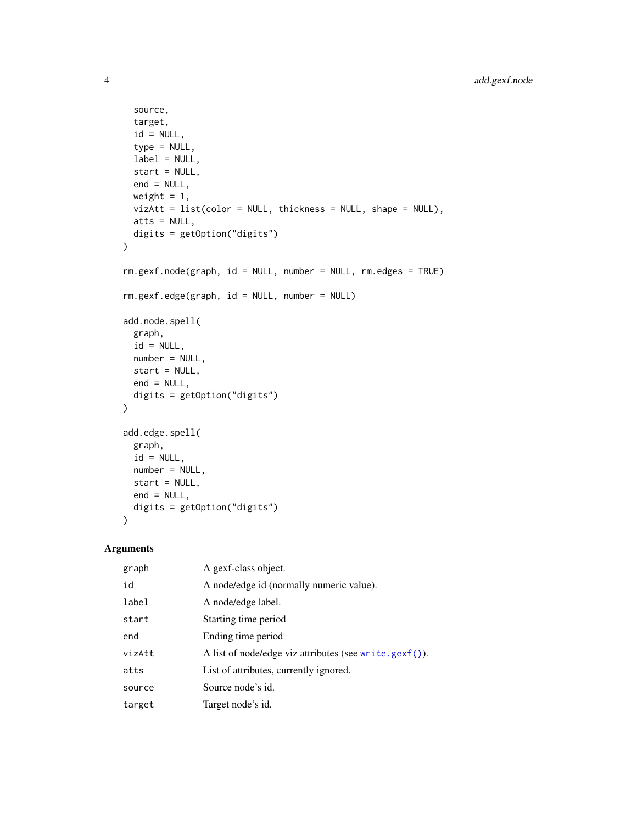```
source,
 target,
 id = NULL,type = NULL,
 label = NULL,start = NULL,
 end = NULL,weight = 1,
 vizAtt = list(color = NULL, thickness = NULL, shape = NULL),
 atts = NULL,
 digits = getOption("digits")
\mathcal{L}rm.gexf.node(graph, id = NULL, number = NULL, rm.edges = TRUE)
rm.gexf.edge(graph, id = NULL, number = NULL)
add.node.spell(
 graph,
 id = NULL,number = NULL,
 start = NULL,end = NULL,digits = getOption("digits")
)
add.edge.spell(
 graph,
 id = NULL,number = NULL,start = NULL,
 end = NULL,
 digits = getOption("digits")
\lambda
```
### Arguments

| graph  | A gexf-class object.                                   |
|--------|--------------------------------------------------------|
| id     | A node/edge id (normally numeric value).               |
| label  | A node/edge label.                                     |
| start  | Starting time period                                   |
| end    | Ending time period                                     |
| vizAtt | A list of node/edge viz attributes (see write.gexf()). |
| atts   | List of attributes, currently ignored.                 |
| source | Source node's id.                                      |
| target | Target node's id.                                      |

<span id="page-3-0"></span>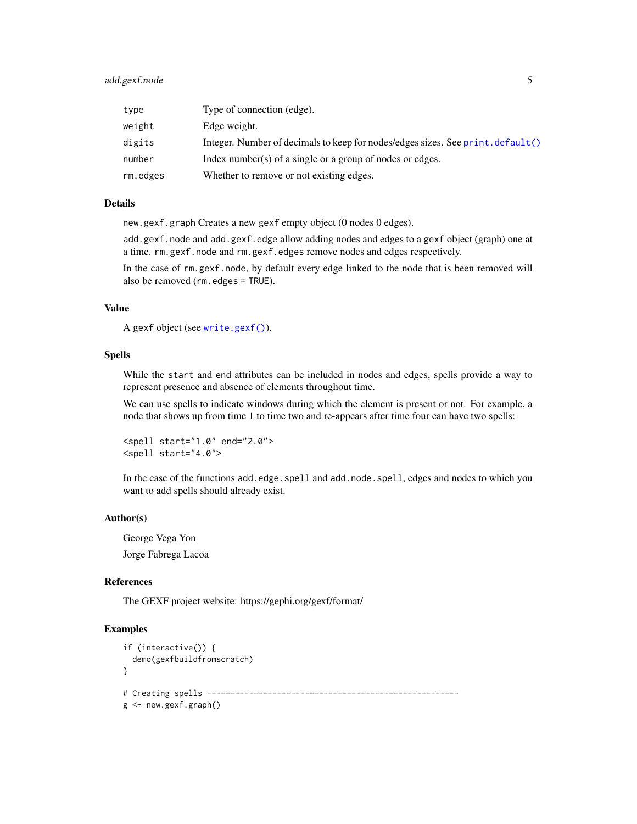### <span id="page-4-0"></span>add.gexf.node 5

| type     | Type of connection (edge).                                                      |
|----------|---------------------------------------------------------------------------------|
| weight   | Edge weight.                                                                    |
| digits   | Integer. Number of decimals to keep for nodes/edges sizes. See print. default() |
| number   | Index number(s) of a single or a group of nodes or edges.                       |
| rm.edges | Whether to remove or not existing edges.                                        |

### Details

new.gexf.graph Creates a new gexf empty object (0 nodes 0 edges).

add.gexf.node and add.gexf.edge allow adding nodes and edges to a gexf object (graph) one at a time. rm.gexf.node and rm.gexf.edges remove nodes and edges respectively.

In the case of rm.gexf.node, by default every edge linked to the node that is been removed will also be removed (rm.edges = TRUE).

### Value

```
A gexf object (see write.gexf()).
```
### Spells

While the start and end attributes can be included in nodes and edges, spells provide a way to represent presence and absence of elements throughout time.

We can use spells to indicate windows during which the element is present or not. For example, a node that shows up from time 1 to time two and re-appears after time four can have two spells:

```
<spell start="1.0" end="2.0">
<spell start="4.0">
```
In the case of the functions add.edge.spell and add.node.spell, edges and nodes to which you want to add spells should already exist.

#### Author(s)

George Vega Yon Jorge Fabrega Lacoa

### References

The GEXF project website: https://gephi.org/gexf/format/

### Examples

```
if (interactive()) {
 demo(gexfbuildfromscratch)
}
# Creating spells ------------------------------------------------------
g <- new.gexf.graph()
```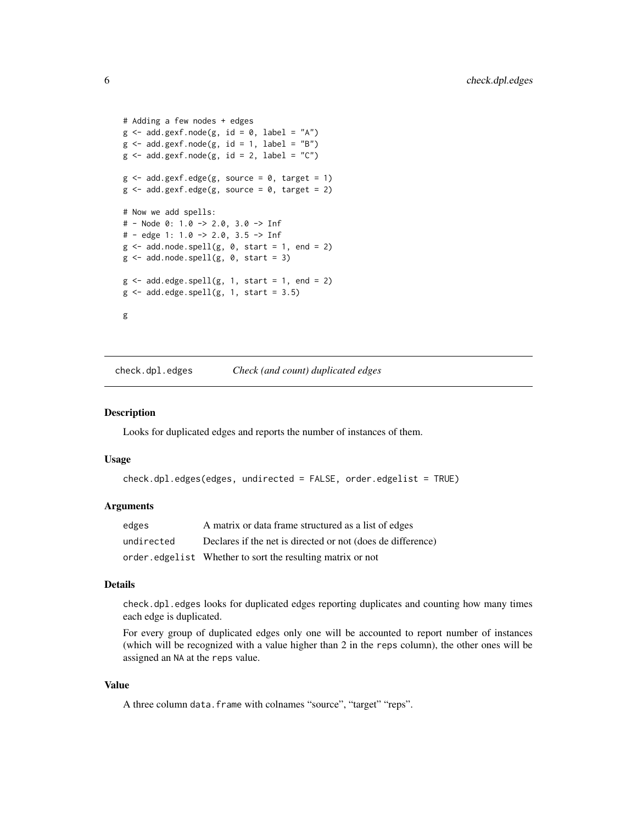```
# Adding a few nodes + edges
g \leftarrow add.gexf.node(g, id = 0, label = "A")g \le - add.gexf.node(g, id = 1, label = "B")
g \le - add.gexf.node(g, id = 2, label = "C")
g \le - add.gexf.edge(g, source = 0, target = 1)
g \le - add.gexf.edge(g, source = 0, target = 2)
# Now we add spells:
# - Node 0: 1.0 -> 2.0, 3.0 -> Inf
# - edge 1: 1.0 -> 2.0, 3.5 -> Inf
g \leftarrow add.node.split(g, 0, start = 1, end = 2)g \leftarrow add.node.split(g, 0, start = 3)g \leftarrow add-edge.split(g, 1, start = 1, end = 2)g \leftarrow add-edge.split(g, 1, start = 3.5)g
```
<span id="page-5-1"></span>check.dpl.edges *Check (and count) duplicated edges*

### **Description**

Looks for duplicated edges and reports the number of instances of them.

### Usage

```
check.dpl.edges(edges, undirected = FALSE, order.edgelist = TRUE)
```
### Arguments

| edges      | A matrix or data frame structured as a list of edges        |
|------------|-------------------------------------------------------------|
| undirected | Declares if the net is directed or not (does de difference) |
|            | order.edgelist Whether to sort the resulting matrix or not  |

### Details

check.dpl.edges looks for duplicated edges reporting duplicates and counting how many times each edge is duplicated.

For every group of duplicated edges only one will be accounted to report number of instances (which will be recognized with a value higher than 2 in the reps column), the other ones will be assigned an NA at the reps value.

### Value

A three column data.frame with colnames "source", "target" "reps".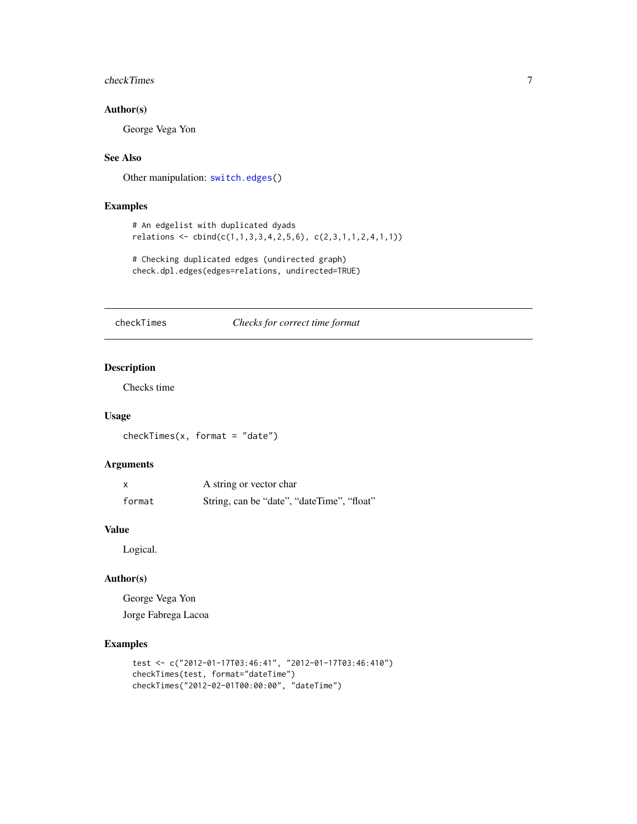### <span id="page-6-0"></span>checkTimes 7

### Author(s)

George Vega Yon

### See Also

Other manipulation: [switch.edges\(](#page-19-1))

### Examples

```
# An edgelist with duplicated dyads
relations <- cbind(c(1,1,3,3,4,2,5,6), c(2,3,1,1,2,4,1,1))
```

```
# Checking duplicated edges (undirected graph)
check.dpl.edges(edges=relations, undirected=TRUE)
```
### checkTimes *Checks for correct time format*

### Description

Checks time

### Usage

checkTimes(x, format = "date")

### Arguments

|        | A string or vector char                    |
|--------|--------------------------------------------|
| format | String, can be "date", "dateTime", "float" |

### Value

Logical.

### Author(s)

George Vega Yon Jorge Fabrega Lacoa

### Examples

```
test <- c("2012-01-17T03:46:41", "2012-01-17T03:46:410")
checkTimes(test, format="dateTime")
checkTimes("2012-02-01T00:00:00", "dateTime")
```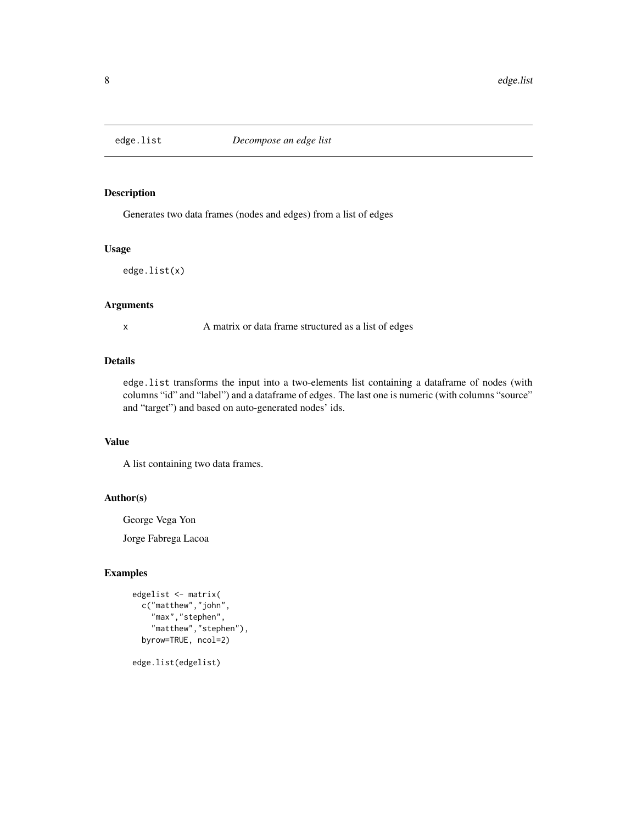<span id="page-7-0"></span>

### Description

Generates two data frames (nodes and edges) from a list of edges

### Usage

edge.list(x)

### Arguments

x A matrix or data frame structured as a list of edges

### Details

edge.list transforms the input into a two-elements list containing a dataframe of nodes (with columns "id" and "label") and a dataframe of edges. The last one is numeric (with columns "source" and "target") and based on auto-generated nodes' ids.

### Value

A list containing two data frames.

### Author(s)

George Vega Yon

Jorge Fabrega Lacoa

### Examples

```
edgelist <- matrix(
 c("matthew","john",
    "max","stephen",
    "matthew","stephen"),
  byrow=TRUE, ncol=2)
```
edge.list(edgelist)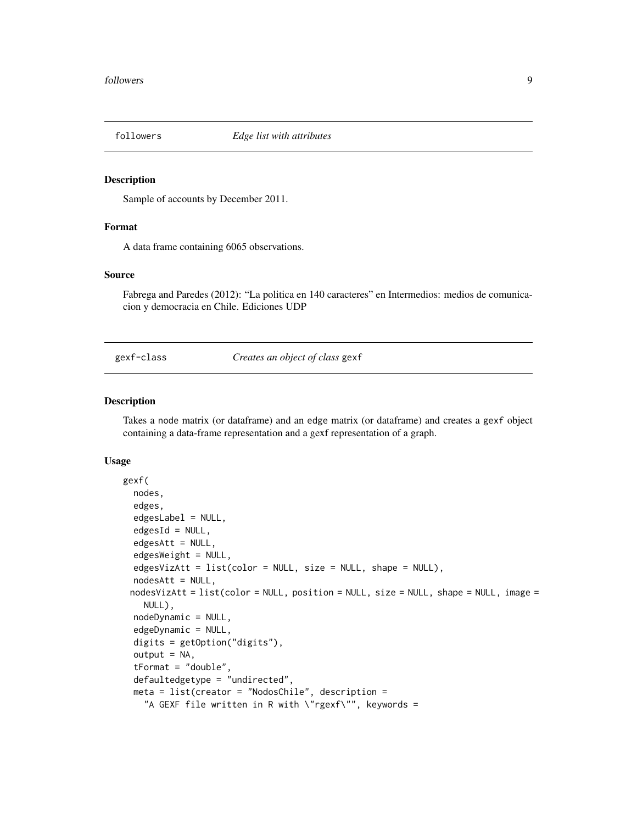<span id="page-8-0"></span>

### Description

Sample of accounts by December 2011.

### Format

A data frame containing 6065 observations.

### Source

Fabrega and Paredes (2012): "La politica en 140 caracteres" en Intermedios: medios de comunicacion y democracia en Chile. Ediciones UDP

gexf-class *Creates an object of class* gexf

### <span id="page-8-1"></span>Description

Takes a node matrix (or dataframe) and an edge matrix (or dataframe) and creates a gexf object containing a data-frame representation and a gexf representation of a graph.

```
gexf(
  nodes,
  edges,
  edgesLabel = NULL,
  edgesId = NULL,edgesAtt = NULL,
  edgesWeight = NULL,
  edgesVizAtt = list(color = NULL, size = NULL, shape = NULL),
  nodesAtt = NULL,nodesVizAtt = list(color = NULL, position = NULL, size = NULL, shape = NULL, image =
    NULL),
  nodeDynamic = NULL,
  edgeDynamic = NULL,
  digits = getOption("digits"),
  output = NA,tFormat = "double",
  defaultedgetype = "undirected",
  meta = list(creator = "NodosChile", description =
    "A GEXF file written in R with \"rgexf\"", keywords =
```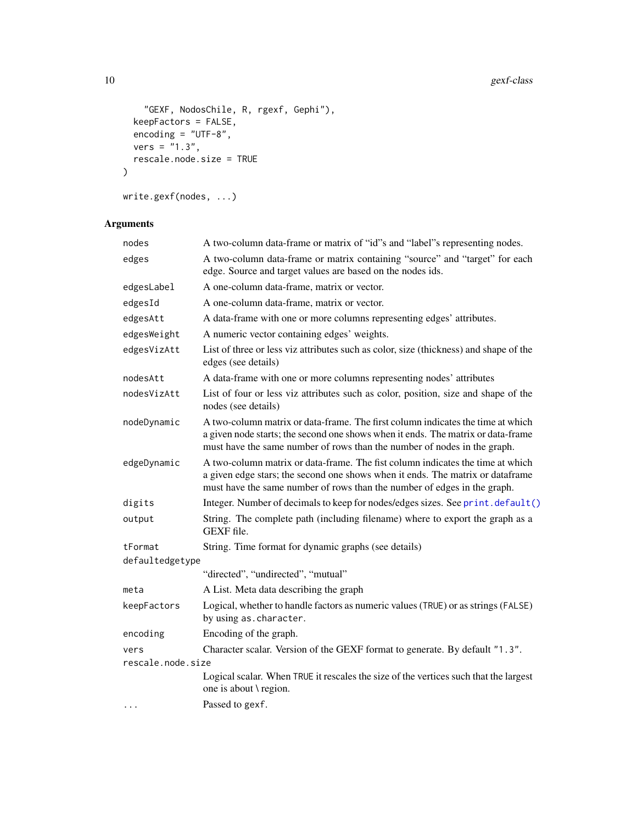```
"GEXF, NodosChile, R, rgexf, Gephi"),
 keepFactors = FALSE,
 encoding = "UTF-8",vers = "1.3",
  rescale.node.size = TRUE
\mathcal{L}
```

```
write.gexf(nodes, ...)
```
### Arguments

| nodes             | A two-column data-frame or matrix of "id"s and "label"s representing nodes.                                                                                                                                                                     |
|-------------------|-------------------------------------------------------------------------------------------------------------------------------------------------------------------------------------------------------------------------------------------------|
| edges             | A two-column data-frame or matrix containing "source" and "target" for each<br>edge. Source and target values are based on the nodes ids.                                                                                                       |
| edgesLabel        | A one-column data-frame, matrix or vector.                                                                                                                                                                                                      |
| edgesId           | A one-column data-frame, matrix or vector.                                                                                                                                                                                                      |
| edgesAtt          | A data-frame with one or more columns representing edges' attributes.                                                                                                                                                                           |
| edgesWeight       | A numeric vector containing edges' weights.                                                                                                                                                                                                     |
| edgesVizAtt       | List of three or less viz attributes such as color, size (thickness) and shape of the<br>edges (see details)                                                                                                                                    |
| nodesAtt          | A data-frame with one or more columns representing nodes' attributes                                                                                                                                                                            |
| nodesVizAtt       | List of four or less viz attributes such as color, position, size and shape of the<br>nodes (see details)                                                                                                                                       |
| nodeDynamic       | A two-column matrix or data-frame. The first column indicates the time at which<br>a given node starts; the second one shows when it ends. The matrix or data-frame<br>must have the same number of rows than the number of nodes in the graph. |
| edgeDynamic       | A two-column matrix or data-frame. The fist column indicates the time at which<br>a given edge stars; the second one shows when it ends. The matrix or dataframe<br>must have the same number of rows than the number of edges in the graph.    |
| digits            | Integer. Number of decimals to keep for nodes/edges sizes. See print.default()                                                                                                                                                                  |
| output            | String. The complete path (including filename) where to export the graph as a<br>GEXF file.                                                                                                                                                     |
| tFormat           | String. Time format for dynamic graphs (see details)                                                                                                                                                                                            |
| defaultedgetype   |                                                                                                                                                                                                                                                 |
|                   | "directed", "undirected", "mutual"                                                                                                                                                                                                              |
| meta              | A List. Meta data describing the graph                                                                                                                                                                                                          |
| keepFactors       | Logical, whether to handle factors as numeric values (TRUE) or as strings (FALSE)<br>by using as. character.                                                                                                                                    |
| encoding          | Encoding of the graph.                                                                                                                                                                                                                          |
| vers              | Character scalar. Version of the GEXF format to generate. By default "1.3".                                                                                                                                                                     |
| rescale.node.size |                                                                                                                                                                                                                                                 |
|                   | Logical scalar. When TRUE it rescales the size of the vertices such that the largest<br>one is about \ region.                                                                                                                                  |
| $\cdots$          | Passed to gexf.                                                                                                                                                                                                                                 |
|                   |                                                                                                                                                                                                                                                 |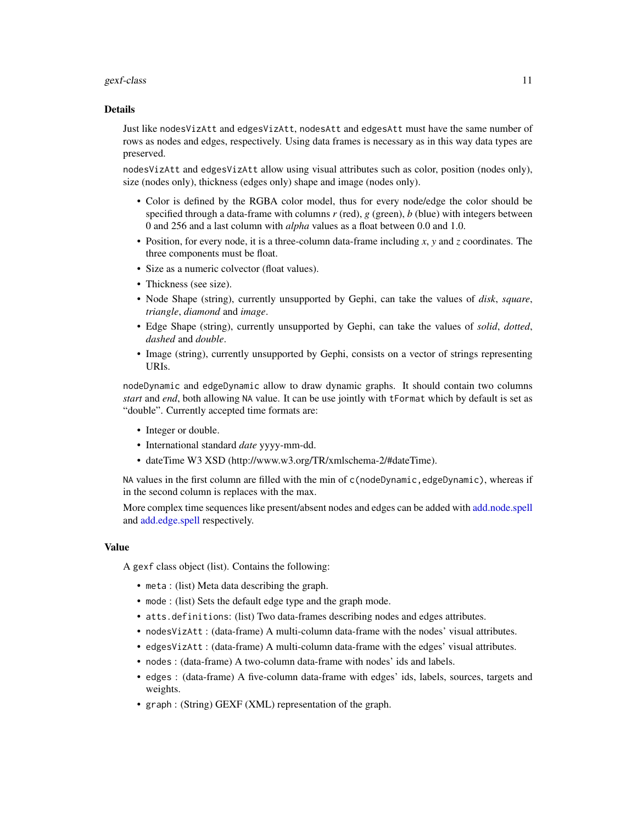### <span id="page-10-0"></span>gexf-class 11

### Details

Just like nodesVizAtt and edgesVizAtt, nodesAtt and edgesAtt must have the same number of rows as nodes and edges, respectively. Using data frames is necessary as in this way data types are preserved.

nodesVizAtt and edgesVizAtt allow using visual attributes such as color, position (nodes only), size (nodes only), thickness (edges only) shape and image (nodes only).

- Color is defined by the RGBA color model, thus for every node/edge the color should be specified through a data-frame with columns  $r$  (red),  $g$  (green),  $b$  (blue) with integers between 0 and 256 and a last column with *alpha* values as a float between 0.0 and 1.0.
- Position, for every node, it is a three-column data-frame including *x*, *y* and *z* coordinates. The three components must be float.
- Size as a numeric colvector (float values).
- Thickness (see size).
- Node Shape (string), currently unsupported by Gephi, can take the values of *disk*, *square*, *triangle*, *diamond* and *image*.
- Edge Shape (string), currently unsupported by Gephi, can take the values of *solid*, *dotted*, *dashed* and *double*.
- Image (string), currently unsupported by Gephi, consists on a vector of strings representing URIs.

nodeDynamic and edgeDynamic allow to draw dynamic graphs. It should contain two columns *start* and *end*, both allowing NA value. It can be use jointly with tFormat which by default is set as "double". Currently accepted time formats are:

- Integer or double.
- International standard *date* yyyy-mm-dd.
- dateTime W3 XSD (http://www.w3.org/TR/xmlschema-2/#dateTime).

NA values in the first column are filled with the min of c(nodeDynamic, edgeDynamic), whereas if in the second column is replaces with the max.

More complex time sequences like present/absent nodes and edges can be added with [add.node.spell](#page-2-1) and [add.edge.spell](#page-2-1) respectively.

### Value

A gexf class object (list). Contains the following:

- meta : (list) Meta data describing the graph.
- mode : (list) Sets the default edge type and the graph mode.
- atts.definitions: (list) Two data-frames describing nodes and edges attributes.
- nodesVizAtt : (data-frame) A multi-column data-frame with the nodes' visual attributes.
- edgesVizAtt : (data-frame) A multi-column data-frame with the edges' visual attributes.
- nodes : (data-frame) A two-column data-frame with nodes' ids and labels.
- edges : (data-frame) A five-column data-frame with edges' ids, labels, sources, targets and weights.
- graph : (String) GEXF (XML) representation of the graph.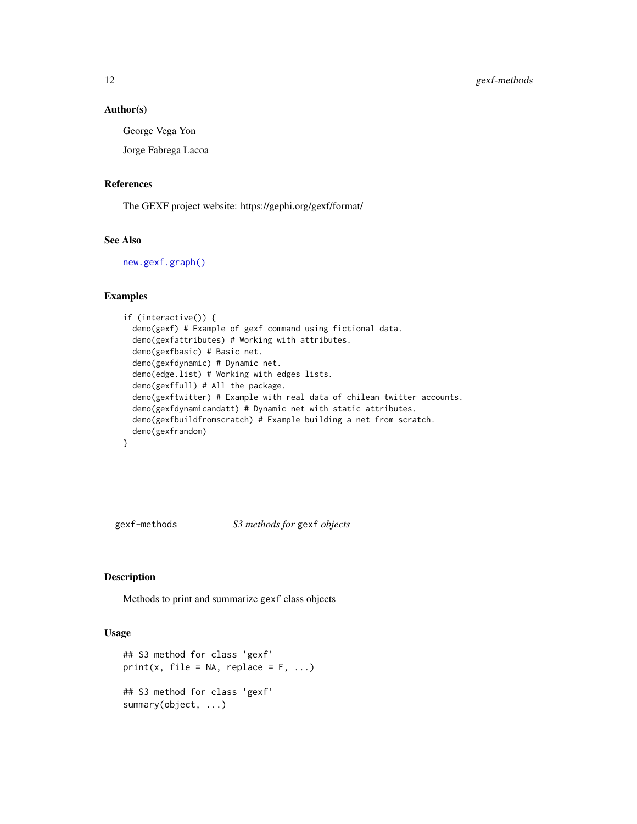### Author(s)

George Vega Yon

Jorge Fabrega Lacoa

### References

The GEXF project website: https://gephi.org/gexf/format/

### See Also

[new.gexf.graph\(\)](#page-17-1)

### Examples

```
if (interactive()) {
 demo(gexf) # Example of gexf command using fictional data.
 demo(gexfattributes) # Working with attributes.
 demo(gexfbasic) # Basic net.
 demo(gexfdynamic) # Dynamic net.
 demo(edge.list) # Working with edges lists.
 demo(gexffull) # All the package.
 demo(gexftwitter) # Example with real data of chilean twitter accounts.
 demo(gexfdynamicandatt) # Dynamic net with static attributes.
 demo(gexfbuildfromscratch) # Example building a net from scratch.
 demo(gexfrandom)
}
```
gexf-methods *S3 methods for* gexf *objects*

### Description

Methods to print and summarize gexf class objects

```
## S3 method for class 'gexf'
print(x, file = NA, replace = F, ...)
## S3 method for class 'gexf'
summary(object, ...)
```
<span id="page-11-0"></span>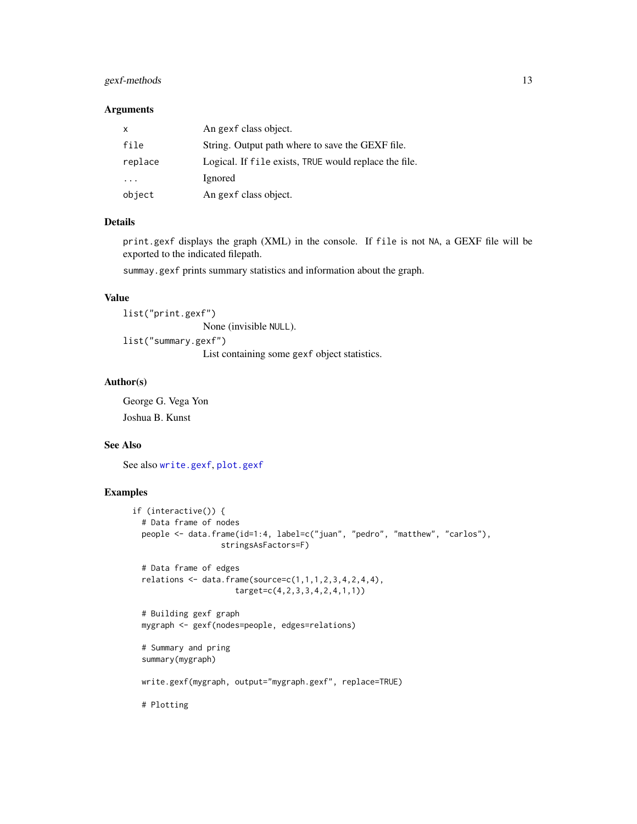### <span id="page-12-0"></span>gexf-methods 13

### Arguments

| X                       | An gexf class object.                                 |
|-------------------------|-------------------------------------------------------|
| file                    | String. Output path where to save the GEXF file.      |
| replace                 | Logical. If file exists, TRUE would replace the file. |
| $\cdot$ $\cdot$ $\cdot$ | Ignored                                               |
| object                  | An gexf class object.                                 |

### Details

print.gexf displays the graph (XML) in the console. If file is not NA, a GEXF file will be exported to the indicated filepath.

summay.gexf prints summary statistics and information about the graph.

### Value

list("print.gexf") None (invisible NULL). list("summary.gexf") List containing some gexf object statistics.

## Author(s)

George G. Vega Yon Joshua B. Kunst

### See Also

See also [write.gexf](#page-8-1), [plot.gexf](#page-13-1)

### Examples

```
if (interactive()) {
  # Data frame of nodes
  people <- data.frame(id=1:4, label=c("juan", "pedro", "matthew", "carlos"),
                   stringsAsFactors=F)
  # Data frame of edges
  relations \leq data.frame(source=c(1,1,1,2,3,4,2,4,4),
                      target=c(4,2,3,3,4,2,4,1,1))
  # Building gexf graph
  mygraph <- gexf(nodes=people, edges=relations)
  # Summary and pring
  summary(mygraph)
  write.gexf(mygraph, output="mygraph.gexf", replace=TRUE)
  # Plotting
```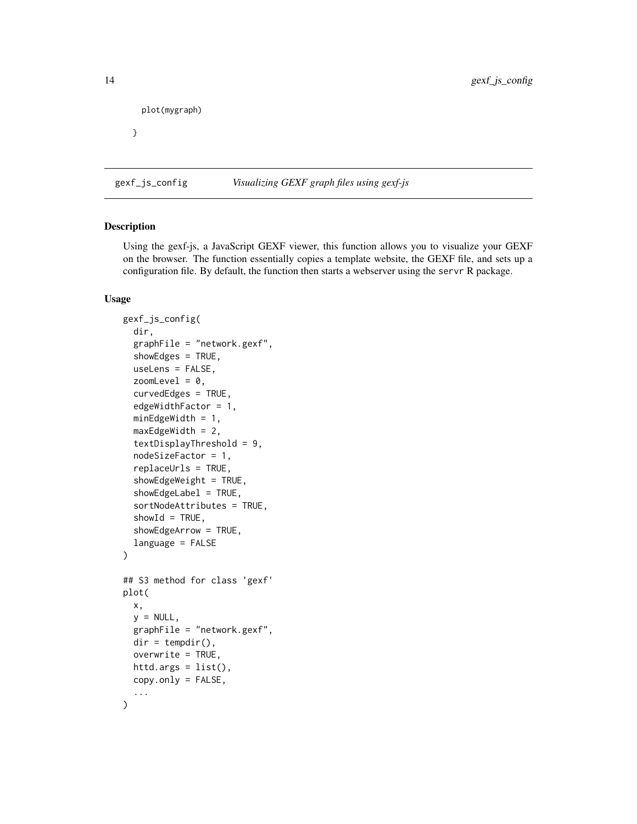```
plot(mygraph)
```
}

gexf\_js\_config *Visualizing GEXF graph files using gexf-js*

### <span id="page-13-1"></span>Description

Using the gexf-js, a JavaScript GEXF viewer, this function allows you to visualize your GEXF on the browser. The function essentially copies a template website, the GEXF file, and sets up a configuration file. By default, the function then starts a webserver using the servr R package.

```
gexf_js_config(
  dir,
  graphFile = "network.gexf",
  showEdges = TRUE,
  useLens = FALSE,
  zoomLevel = 0,
  curvedEdges = TRUE,
  edgeWidthFactor = 1,
  minEdgeWidth = 1,
  maxEdgeWidth = 2,
  textDisplayThreshold = 9,
  nodeSizeFactor = 1,
  replaceUrls = TRUE,
  showEdgeWeight = TRUE,
  showEdgeLabel = TRUE,
  sortNodeAttributes = TRUE,
  showId = TRUE,showEdgeArrow = TRUE,
  language = FALSE
)
## S3 method for class 'gexf'
plot(
  x,
  y = NULL,graphFile = "network.gexf",
  dir = tempdir().
  overwrite = TRUE,
  httd.args = list(),
  copy.only = FALSE,
  ...
\mathcal{L}
```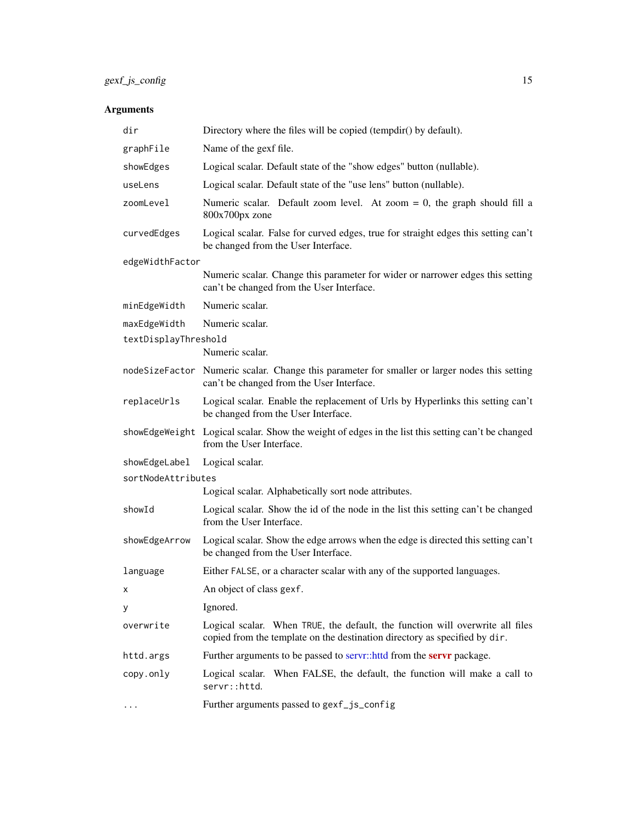### <span id="page-14-0"></span>Arguments

| dir                              | Directory where the files will be copied (tempdir() by default).                                                                                            |  |
|----------------------------------|-------------------------------------------------------------------------------------------------------------------------------------------------------------|--|
| graphFile                        | Name of the gexf file.                                                                                                                                      |  |
| showEdges                        | Logical scalar. Default state of the "show edges" button (nullable).                                                                                        |  |
| useLens                          | Logical scalar. Default state of the "use lens" button (nullable).                                                                                          |  |
| zoomLevel                        | Numeric scalar. Default zoom level. At zoom = 0, the graph should fill a<br>800x700px zone                                                                  |  |
| curvedEdges                      | Logical scalar. False for curved edges, true for straight edges this setting can't<br>be changed from the User Interface.                                   |  |
| edgeWidthFactor                  |                                                                                                                                                             |  |
|                                  | Numeric scalar. Change this parameter for wider or narrower edges this setting<br>can't be changed from the User Interface.                                 |  |
| minEdgeWidth                     | Numeric scalar.                                                                                                                                             |  |
| maxEdgeWidth                     | Numeric scalar.                                                                                                                                             |  |
| textDisplayThreshold             | Numeric scalar.                                                                                                                                             |  |
|                                  | nodeSizeFactor Numeric scalar. Change this parameter for smaller or larger nodes this setting<br>can't be changed from the User Interface.                  |  |
| replaceUrls                      | Logical scalar. Enable the replacement of Urls by Hyperlinks this setting can't<br>be changed from the User Interface.                                      |  |
|                                  | showEdgeWeight Logical scalar. Show the weight of edges in the list this setting can't be changed<br>from the User Interface.                               |  |
| showEdgeLabel<br>Logical scalar. |                                                                                                                                                             |  |
| sortNodeAttributes               |                                                                                                                                                             |  |
|                                  | Logical scalar. Alphabetically sort node attributes.                                                                                                        |  |
| showId                           | Logical scalar. Show the id of the node in the list this setting can't be changed<br>from the User Interface.                                               |  |
| showEdgeArrow                    | Logical scalar. Show the edge arrows when the edge is directed this setting can't<br>be changed from the User Interface.                                    |  |
| language                         | Either FALSE, or a character scalar with any of the supported languages.                                                                                    |  |
| X.                               | An object of class gexf.                                                                                                                                    |  |
| у                                | Ignored.                                                                                                                                                    |  |
| overwrite                        | Logical scalar. When TRUE, the default, the function will overwrite all files<br>copied from the template on the destination directory as specified by dir. |  |
| httd.args                        | Further arguments to be passed to servr::httd from the servr package.                                                                                       |  |
| copy.only                        | Logical scalar. When FALSE, the default, the function will make a call to<br>servr::httd.                                                                   |  |
| .                                | Further arguments passed to gexf_js_config                                                                                                                  |  |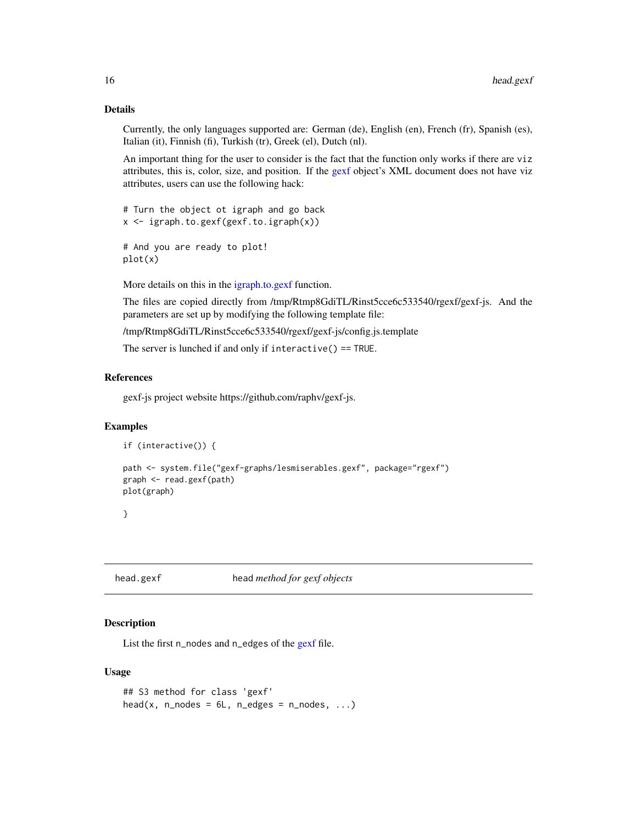### Details

Currently, the only languages supported are: German (de), English (en), French (fr), Spanish (es), Italian (it), Finnish (fi), Turkish (tr), Greek (el), Dutch (nl).

An important thing for the user to consider is the fact that the function only works if there are viz attributes, this is, color, size, and position. If the [gexf](#page-8-1) object's XML document does not have viz attributes, users can use the following hack:

# Turn the object ot igraph and go back x <- igraph.to.gexf(gexf.to.igraph(x))

```
# And you are ready to plot!
plot(x)
```
More details on this in the [igraph.to.gexf](#page-16-1) function.

The files are copied directly from /tmp/Rtmp8GdiTL/Rinst5cce6c533540/rgexf/gexf-js. And the parameters are set up by modifying the following template file:

/tmp/Rtmp8GdiTL/Rinst5cce6c533540/rgexf/gexf-js/config.js.template

The server is lunched if and only if interactive() == TRUE.

### References

gexf-js project website https://github.com/raphv/gexf-js.

### Examples

```
if (interactive()) {
```

```
path <- system.file("gexf-graphs/lesmiserables.gexf", package="rgexf")
graph <- read.gexf(path)
plot(graph)
```
}

head.gexf head *method for gexf objects*

### Description

List the first n\_nodes and n\_edges of the [gexf](#page-8-1) file.

```
## S3 method for class 'gexf'
head(x, n_nodes = 6L, n_edges = n_nodes, ...)
```
<span id="page-15-0"></span>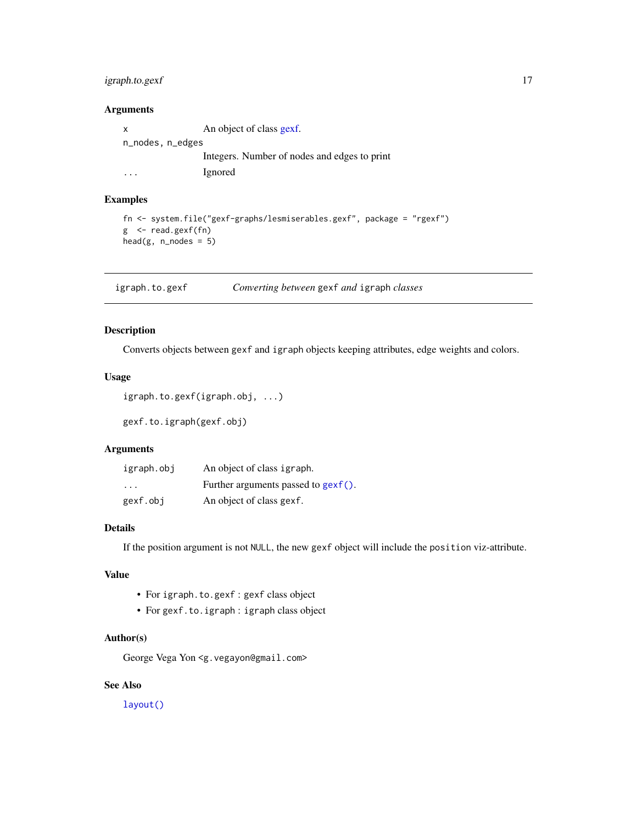### <span id="page-16-0"></span>igraph.to.gexf 17

### Arguments

x An object of class [gexf.](#page-8-1) n\_nodes, n\_edges Integers. Number of nodes and edges to print ... Ignored

### Examples

```
fn <- system.file("gexf-graphs/lesmiserables.gexf", package = "rgexf")
g <- read.gexf(fn)
head(g, n\_nodes = 5)
```
<span id="page-16-1"></span>igraph.to.gexf *Converting between* gexf *and* igraph *classes*

### Description

Converts objects between gexf and igraph objects keeping attributes, edge weights and colors.

### Usage

```
igraph.to.gexf(igraph.obj, ...)
```
gexf.to.igraph(gexf.obj)

### Arguments

| igraph.obj | An object of class igraph.             |
|------------|----------------------------------------|
| $\cdot$    | Further arguments passed to $gexf()$ . |
| gexf.obj   | An object of class gexf.               |

### Details

If the position argument is not NULL, the new gexf object will include the position viz-attribute.

### Value

- For igraph.to.gexf : gexf class object
- For gexf.to.igraph : igraph class object

### Author(s)

George Vega Yon <g.vegayon@gmail.com>

### See Also

[layout\(\)](#page-0-0)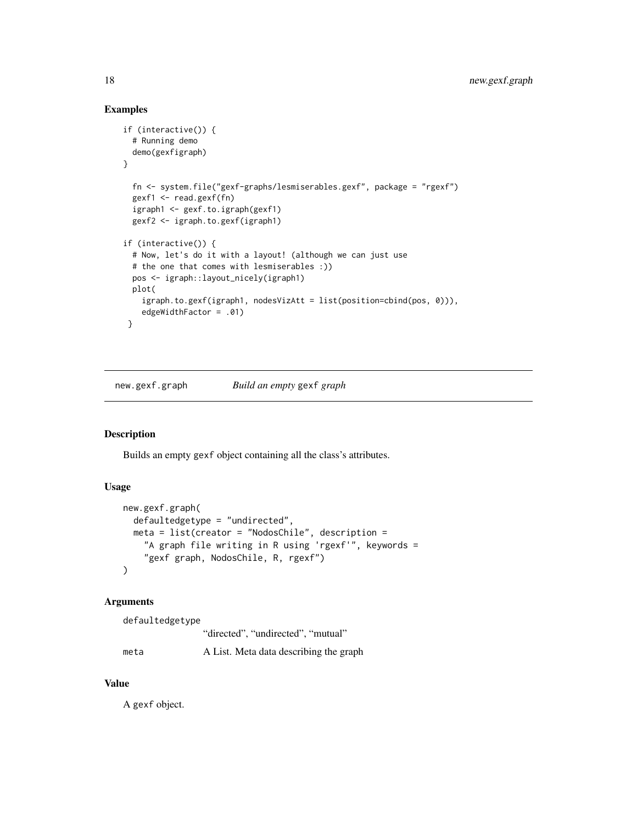### Examples

```
if (interactive()) {
 # Running demo
 demo(gexfigraph)
}
 fn <- system.file("gexf-graphs/lesmiserables.gexf", package = "rgexf")
 gexf1 <- read.gexf(fn)
 igraph1 <- gexf.to.igraph(gexf1)
 gexf2 <- igraph.to.gexf(igraph1)
if (interactive()) {
 # Now, let's do it with a layout! (although we can just use
 # the one that comes with lesmiserables :))
 pos <- igraph::layout_nicely(igraph1)
 plot(
    igraph.to.gexf(igraph1, nodesVizAtt = list(position=cbind(pos, 0))),
    edgeWidthFactor = .01)
}
```
<span id="page-17-1"></span>new.gexf.graph *Build an empty* gexf *graph*

### Description

Builds an empty gexf object containing all the class's attributes.

### Usage

```
new.gexf.graph(
 defaultedgetype = "undirected",
 meta = list(creator = "NodosChile", description =
    "A graph file writing in R using 'rgexf'", keywords =
    "gexf graph, NodosChile, R, rgexf")
)
```
### Arguments

```
defaultedgetype
                "directed", "undirected", "mutual"
meta A List. Meta data describing the graph
```
### Value

A gexf object.

<span id="page-17-0"></span>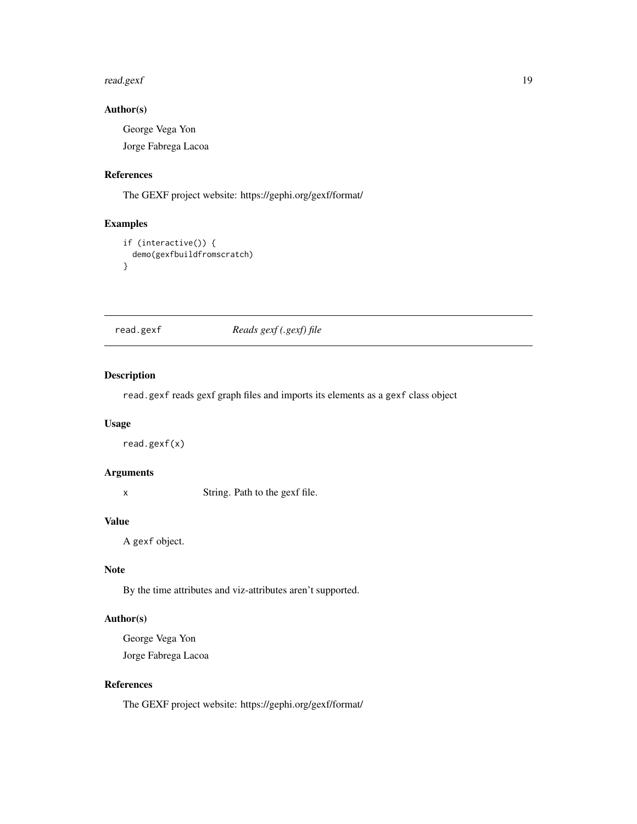### <span id="page-18-0"></span>read.gexf and the state of the state of the state of the state of the state of the state of the state of the state of the state of the state of the state of the state of the state of the state of the state of the state of

### Author(s)

George Vega Yon Jorge Fabrega Lacoa

### References

The GEXF project website: https://gephi.org/gexf/format/

### Examples

```
if (interactive()) {
  demo(gexfbuildfromscratch)
}
```
read.gexf *Reads gexf (.gexf) file*

### Description

read.gexf reads gexf graph files and imports its elements as a gexf class object

### Usage

read.gexf(x)

### Arguments

x String. Path to the gexf file.

### Value

A gexf object.

### Note

By the time attributes and viz-attributes aren't supported.

### Author(s)

George Vega Yon Jorge Fabrega Lacoa

### References

The GEXF project website: https://gephi.org/gexf/format/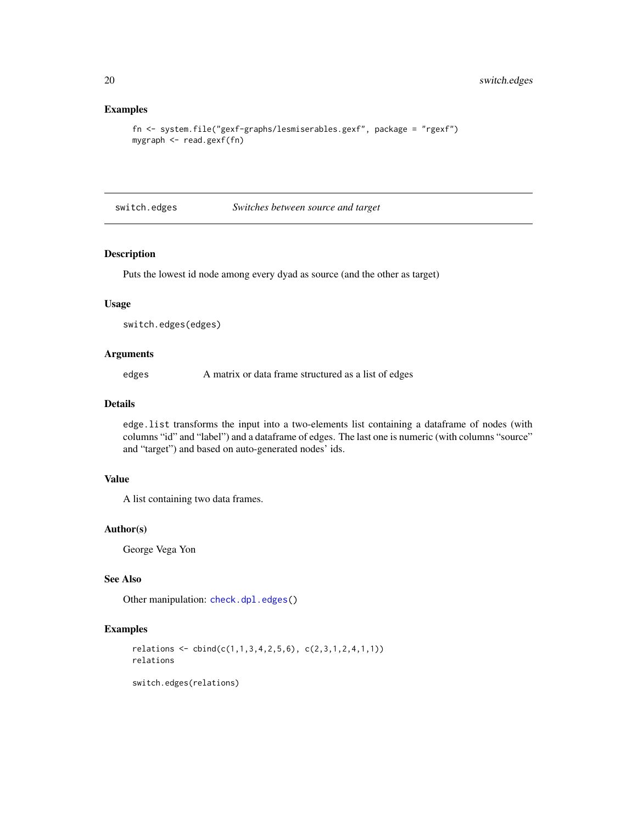### Examples

```
fn <- system.file("gexf-graphs/lesmiserables.gexf", package = "rgexf")
mygraph <- read.gexf(fn)
```
<span id="page-19-1"></span>switch.edges *Switches between source and target*

### Description

Puts the lowest id node among every dyad as source (and the other as target)

### Usage

```
switch.edges(edges)
```
### Arguments

edges A matrix or data frame structured as a list of edges

### Details

edge.list transforms the input into a two-elements list containing a dataframe of nodes (with columns "id" and "label") and a dataframe of edges. The last one is numeric (with columns "source" and "target") and based on auto-generated nodes' ids.

### Value

A list containing two data frames.

### Author(s)

George Vega Yon

### See Also

Other manipulation: [check.dpl.edges\(](#page-5-1))

### Examples

```
relations \leq cbind(c(1,1,3,4,2,5,6), c(2,3,1,2,4,1,1))
relations
```
switch.edges(relations)

<span id="page-19-0"></span>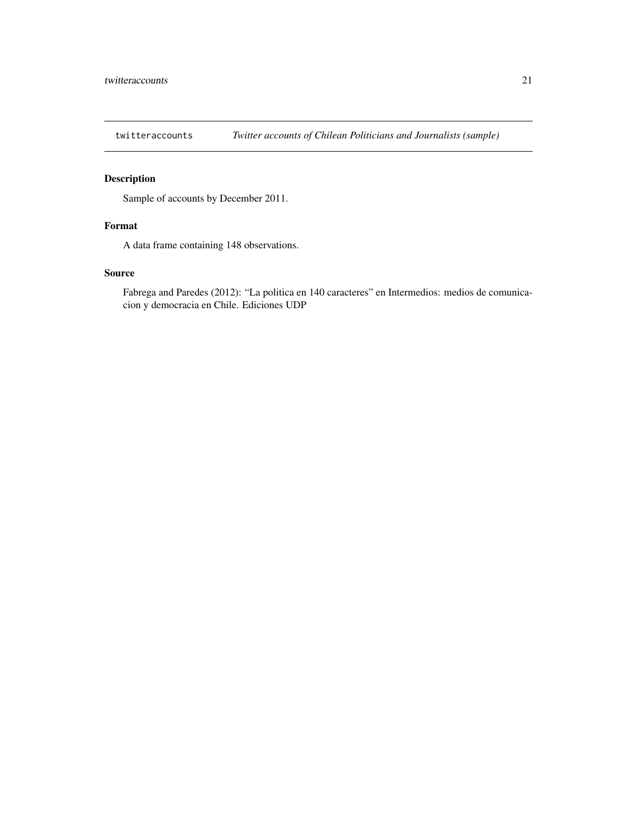<span id="page-20-0"></span>

### Description

Sample of accounts by December 2011.

### Format

A data frame containing 148 observations.

### Source

Fabrega and Paredes (2012): "La politica en 140 caracteres" en Intermedios: medios de comunicacion y democracia en Chile. Ediciones UDP